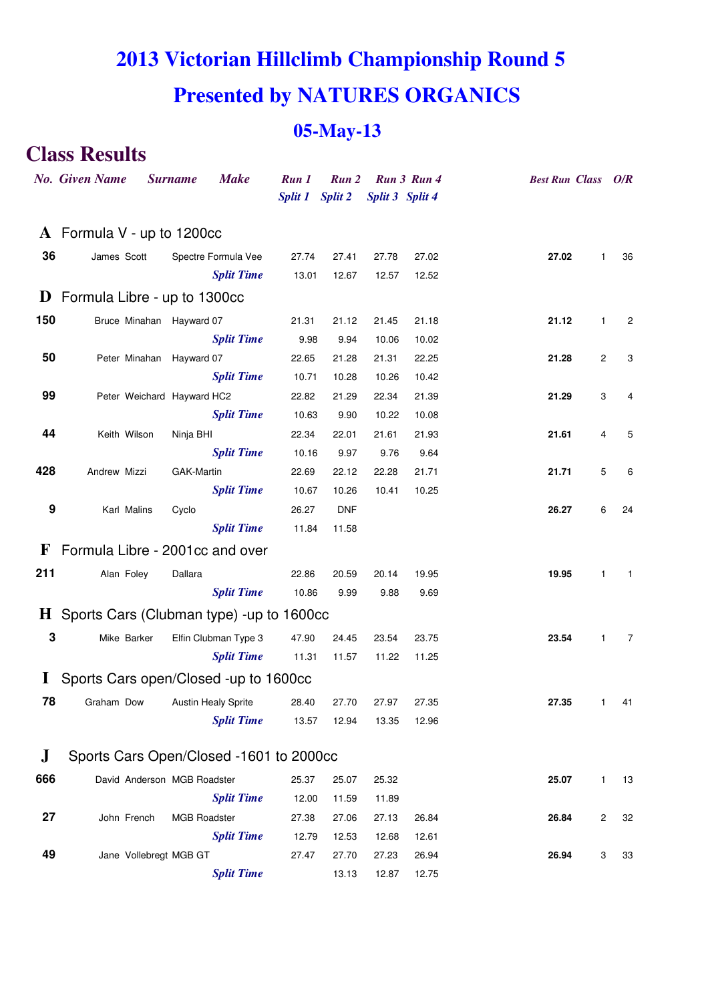# **2013 Victorian Hillclimb Championship Round 5 Presented by NATURES ORGANICS**

### **05-May-13**

## **Class Results**

|              | <b>No.</b> Given Name                             | <b>Surname</b>              | <b>Make</b>          | Run 1           | Run 2      |                 | Run 3 Run 4 | <b>Best Run Class</b> |                | O/R            |
|--------------|---------------------------------------------------|-----------------------------|----------------------|-----------------|------------|-----------------|-------------|-----------------------|----------------|----------------|
|              |                                                   |                             |                      | Split 1 Split 2 |            | Split 3 Split 4 |             |                       |                |                |
|              | $\bf{A}$ Formula V - up to 1200cc                 |                             |                      |                 |            |                 |             |                       |                |                |
| 36           | James Scott                                       |                             | Spectre Formula Vee  | 27.74           | 27.41      | 27.78           | 27.02       | 27.02                 | 1              | 36             |
|              |                                                   |                             | <b>Split Time</b>    | 13.01           | 12.67      | 12.57           | 12.52       |                       |                |                |
|              | $\bf{D}$ Formula Libre - up to 1300cc             |                             |                      |                 |            |                 |             |                       |                |                |
| 150          |                                                   | Bruce Minahan Hayward 07    |                      | 21.31           | 21.12      | 21.45           | 21.18       | 21.12                 | $\mathbf{1}$   | 2              |
|              |                                                   |                             | <b>Split Time</b>    | 9.98            | 9.94       | 10.06           | 10.02       |                       |                |                |
| 50           |                                                   | Peter Minahan Hayward 07    |                      | 22.65           | 21.28      | 21.31           | 22.25       | 21.28                 | 2              | 3              |
|              |                                                   |                             | <b>Split Time</b>    | 10.71           | 10.28      | 10.26           | 10.42       |                       |                |                |
| 99           |                                                   | Peter Weichard Hayward HC2  |                      | 22.82           | 21.29      | 22.34           | 21.39       | 21.29                 | 3              | 4              |
|              |                                                   |                             | <b>Split Time</b>    | 10.63           | 9.90       | 10.22           | 10.08       |                       |                |                |
| 44           | Keith Wilson                                      | Ninja BHI                   |                      | 22.34           | 22.01      | 21.61           | 21.93       | 21.61                 | 4              | 5              |
|              |                                                   |                             | <b>Split Time</b>    | 10.16           | 9.97       | 9.76            | 9.64        |                       |                |                |
| 428          | Andrew Mizzi                                      | GAK-Martin                  |                      | 22.69           | 22.12      | 22.28           | 21.71       | 21.71                 | 5              | 6              |
|              |                                                   |                             | <b>Split Time</b>    | 10.67           | 10.26      | 10.41           | 10.25       |                       |                |                |
| 9            | Karl Malins                                       | Cyclo                       |                      | 26.27           | <b>DNF</b> |                 |             | 26.27                 | 6              | 24             |
|              |                                                   |                             | <b>Split Time</b>    | 11.84           | 11.58      |                 |             |                       |                |                |
| $\mathbf{F}$ | Formula Libre - 2001cc and over                   |                             |                      |                 |            |                 |             |                       |                |                |
| 211          | Alan Foley                                        | Dallara                     |                      | 22.86           | 20.59      | 20.14           | 19.95       | 19.95                 | 1              | $\mathbf{1}$   |
|              |                                                   |                             | <b>Split Time</b>    | 10.86           | 9.99       | 9.88            | 9.69        |                       |                |                |
|              | $\bf{H}$ Sports Cars (Clubman type) -up to 1600cc |                             |                      |                 |            |                 |             |                       |                |                |
| 3            | Mike Barker                                       |                             | Elfin Clubman Type 3 | 47.90           | 24.45      | 23.54           | 23.75       | 23.54                 | $\mathbf{1}$   | $\overline{7}$ |
|              |                                                   |                             | <b>Split Time</b>    | 11.31           | 11.57      | 11.22           | 11.25       |                       |                |                |
|              | Sports Cars open/Closed -up to 1600cc             |                             |                      |                 |            |                 |             |                       |                |                |
| 78           | Graham Dow                                        |                             | Austin Healy Sprite  | 28.40           | 27.70      | 27.97           | 27.35       | 27.35                 | 1              | 41             |
|              |                                                   |                             | <b>Split Time</b>    | 13.57           | 12.94      | 13.35           | 12.96       |                       |                |                |
|              |                                                   |                             |                      |                 |            |                 |             |                       |                |                |
| ${\bf J}$    | Sports Cars Open/Closed -1601 to 2000cc           |                             |                      |                 |            |                 |             |                       |                |                |
| 666          |                                                   | David Anderson MGB Roadster |                      | 25.37           | 25.07      | 25.32           |             | 25.07                 | $\mathbf{1}$   | 13             |
|              |                                                   |                             | <b>Split Time</b>    | 12.00           | 11.59      | 11.89           |             |                       |                |                |
| 27           | John French                                       | MGB Roadster                |                      | 27.38           | 27.06      | 27.13           | 26.84       | 26.84                 | $\overline{c}$ | 32             |
|              |                                                   |                             | <b>Split Time</b>    | 12.79           | 12.53      | 12.68           | 12.61       |                       |                |                |
| 49           |                                                   | Jane Vollebregt MGB GT      |                      | 27.47           | 27.70      | 27.23           | 26.94       | 26.94                 | 3              | 33             |
|              |                                                   |                             | <b>Split Time</b>    |                 | 13.13      | 12.87           | 12.75       |                       |                |                |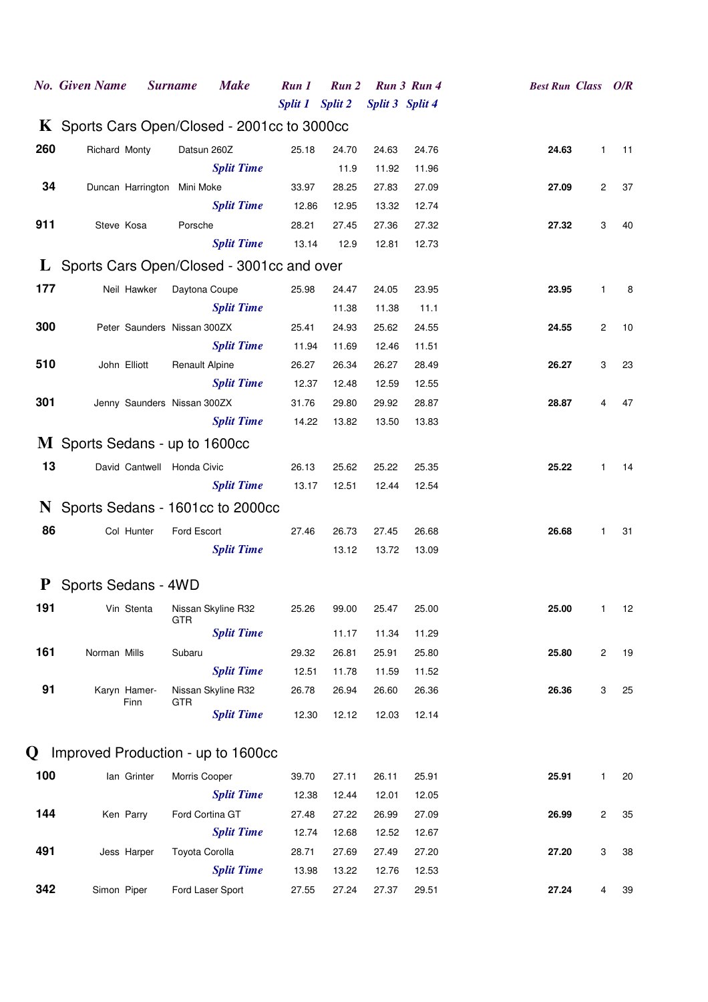|     | <b>No.</b> Given Name                        | <b>Surname</b>        | <b>Make</b>        | Run 1           | Run 2 |                 | Run 3 Run 4 | <b>Best Run Class O/R</b> |                |    |
|-----|----------------------------------------------|-----------------------|--------------------|-----------------|-------|-----------------|-------------|---------------------------|----------------|----|
|     |                                              |                       |                    | Split 1 Split 2 |       | Split 3 Split 4 |             |                           |                |    |
|     | K Sports Cars Open/Closed - 2001cc to 3000cc |                       |                    |                 |       |                 |             |                           |                |    |
| 260 | Richard Monty                                | Datsun 260Z           |                    | 25.18           | 24.70 | 24.63           | 24.76       | 24.63                     | $\mathbf{1}$   | 11 |
|     |                                              |                       | <b>Split Time</b>  |                 | 11.9  | 11.92           | 11.96       |                           |                |    |
| 34  | Duncan Harrington Mini Moke                  |                       |                    | 33.97           | 28.25 | 27.83           | 27.09       | 27.09                     | $\mathbf{2}$   | 37 |
|     |                                              |                       | <b>Split Time</b>  | 12.86           | 12.95 | 13.32           | 12.74       |                           |                |    |
| 911 | Steve Kosa                                   | Porsche               |                    | 28.21           | 27.45 | 27.36           | 27.32       | 27.32                     | 3              | 40 |
|     |                                              |                       | <b>Split Time</b>  | 13.14           | 12.9  | 12.81           | 12.73       |                           |                |    |
|     | L Sports Cars Open/Closed - 3001cc and over  |                       |                    |                 |       |                 |             |                           |                |    |
| 177 | Neil Hawker                                  | Daytona Coupe         |                    | 25.98           | 24.47 | 24.05           | 23.95       | 23.95                     | $\mathbf{1}$   | 8  |
|     |                                              |                       | <b>Split Time</b>  |                 | 11.38 | 11.38           | 11.1        |                           |                |    |
| 300 | Peter Saunders Nissan 300ZX                  |                       |                    | 25.41           | 24.93 | 25.62           | 24.55       | 24.55                     | $\overline{c}$ | 10 |
|     |                                              |                       | <b>Split Time</b>  | 11.94           | 11.69 | 12.46           | 11.51       |                           |                |    |
| 510 | John Elliott                                 | <b>Renault Alpine</b> |                    | 26.27           | 26.34 | 26.27           | 28.49       | 26.27                     | 3              | 23 |
|     |                                              |                       | <b>Split Time</b>  | 12.37           | 12.48 | 12.59           | 12.55       |                           |                |    |
| 301 | Jenny Saunders Nissan 300ZX                  |                       |                    | 31.76           | 29.80 | 29.92           | 28.87       | 28.87                     | 4              | 47 |
|     |                                              |                       | <b>Split Time</b>  | 14.22           | 13.82 | 13.50           | 13.83       |                           |                |    |
|     | M Sports Sedans - up to 1600cc               |                       |                    |                 |       |                 |             |                           |                |    |
| 13  | David Cantwell Honda Civic                   |                       |                    | 26.13           | 25.62 | 25.22           | 25.35       | 25.22                     | $\mathbf{1}$   | 14 |
|     |                                              |                       | <b>Split Time</b>  | 13.17           | 12.51 | 12.44           | 12.54       |                           |                |    |
|     | N Sports Sedans - 1601cc to 2000cc           |                       |                    |                 |       |                 |             |                           |                |    |
| 86  | Col Hunter                                   | Ford Escort           |                    | 27.46           | 26.73 | 27.45           | 26.68       | 26.68                     | $\mathbf{1}$   | 31 |
|     |                                              |                       | <b>Split Time</b>  |                 | 13.12 | 13.72           | 13.09       |                           |                |    |
|     |                                              |                       |                    |                 |       |                 |             |                           |                |    |
|     | P Sports Sedans - 4WD                        |                       |                    |                 |       |                 |             |                           |                |    |
| 191 | Vin Stenta Nissan Skyline R32                |                       |                    | 25.26           | 99.00 | 25.47           | 25.00       | 25.00                     | 1.             | 12 |
|     |                                              | <b>GTR</b>            | <b>Split Time</b>  |                 | 11.17 | 11.34           | 11.29       |                           |                |    |
| 161 | Norman Mills                                 | Subaru                |                    | 29.32           | 26.81 | 25.91           | 25.80       | 25.80                     | $\mathbf{2}$   | 19 |
|     |                                              |                       | <b>Split Time</b>  | 12.51           | 11.78 | 11.59           | 11.52       |                           |                |    |
| 91  | Karyn Hamer-                                 |                       | Nissan Skyline R32 | 26.78           | 26.94 | 26.60           | 26.36       | 26.36                     | 3              | 25 |
|     | Finn                                         | GTR                   | <b>Split Time</b>  |                 |       |                 |             |                           |                |    |
|     |                                              |                       |                    | 12.30           | 12.12 | 12.03           | 12.14       |                           |                |    |
|     | <b>Q</b> Improved Production - up to 1600cc  |                       |                    |                 |       |                 |             |                           |                |    |
| 100 | lan Grinter                                  | Morris Cooper         |                    | 39.70           | 27.11 | 26.11           | 25.91       | 25.91                     | $\mathbf{1}$   | 20 |
|     |                                              |                       | <b>Split Time</b>  | 12.38           | 12.44 | 12.01           | 12.05       |                           |                |    |
| 144 | Ken Parry                                    | Ford Cortina GT       |                    | 27.48           | 27.22 | 26.99           | 27.09       | 26.99                     | $\mathbf{2}$   | 35 |
|     |                                              |                       | <b>Split Time</b>  | 12.74           | 12.68 | 12.52           | 12.67       |                           |                |    |
| 491 | Jess Harper                                  | Toyota Corolla        |                    | 28.71           | 27.69 | 27.49           | 27.20       | 27.20                     | 3              | 38 |
|     |                                              |                       | <b>Split Time</b>  | 13.98           | 13.22 | 12.76           | 12.53       |                           |                |    |
| 342 | Simon Piper                                  |                       | Ford Laser Sport   | 27.55           | 27.24 | 27.37           | 29.51       | 27.24                     | 4              | 39 |
|     |                                              |                       |                    |                 |       |                 |             |                           |                |    |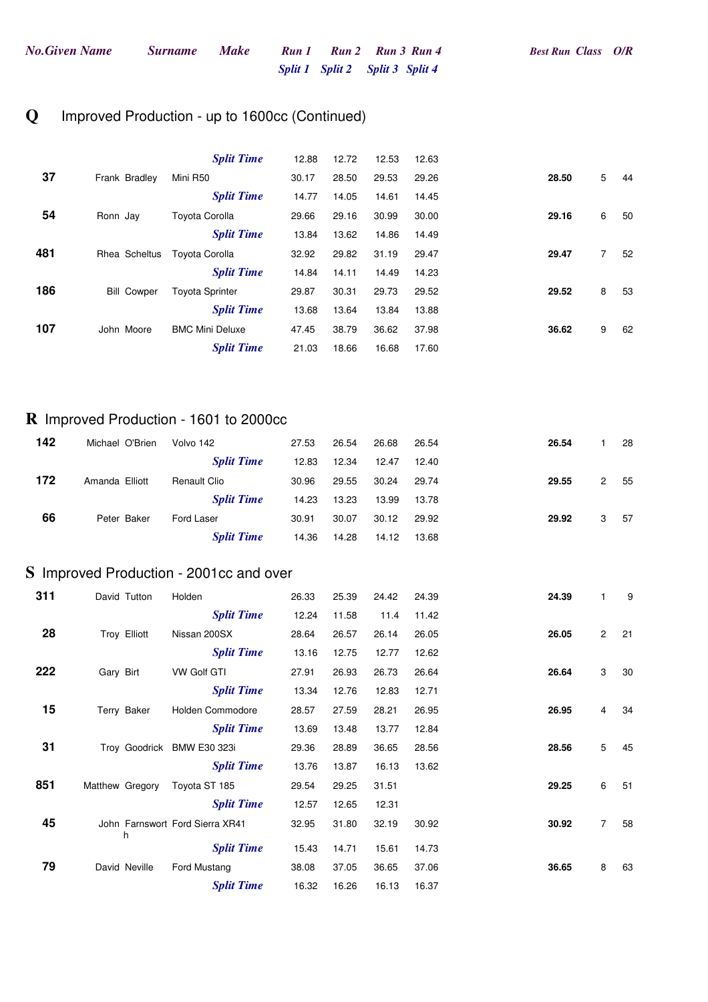#### **Q** Improved Production - up to 1600cc (Continued)

|     |                    | <b>Split Time</b>      | 12.88 | 12.72 | 12.53 | 12.63 |       |                |    |
|-----|--------------------|------------------------|-------|-------|-------|-------|-------|----------------|----|
| 37  | Frank Bradley      | Mini R50               | 30.17 | 28.50 | 29.53 | 29.26 | 28.50 | 5              | 44 |
|     |                    | <b>Split Time</b>      | 14.77 | 14.05 | 14.61 | 14.45 |       |                |    |
| 54  | Ronn Jay           | <b>Toyota Corolla</b>  | 29.66 | 29.16 | 30.99 | 30.00 | 29.16 | 6              | 50 |
|     |                    | <b>Split Time</b>      | 13.84 | 13.62 | 14.86 | 14.49 |       |                |    |
| 481 | Rhea Scheltus      | Toyota Corolla         | 32.92 | 29.82 | 31.19 | 29.47 | 29.47 | $\overline{7}$ | 52 |
|     |                    | <b>Split Time</b>      | 14.84 | 14.11 | 14.49 | 14.23 |       |                |    |
| 186 | <b>Bill Cowper</b> | <b>Toyota Sprinter</b> | 29.87 | 30.31 | 29.73 | 29.52 | 29.52 | 8              | 53 |
|     |                    | <b>Split Time</b>      | 13.68 | 13.64 | 13.84 | 13.88 |       |                |    |
| 107 | John Moore         | <b>BMC Mini Deluxe</b> | 47.45 | 38.79 | 36.62 | 37.98 | 36.62 | 9              | 62 |
|     |                    | <b>Split Time</b>      | 21.03 | 18.66 | 16.68 | 17.60 |       |                |    |

#### **R** Improved Production - 1601 to 2000cc

| 142 | Michael O'Brien | Volvo 142         | 27.53 | 26.54 | 26.68 | 26.54 | 26.54 |   | 28  |
|-----|-----------------|-------------------|-------|-------|-------|-------|-------|---|-----|
|     |                 | <b>Split Time</b> | 12.83 | 12.34 | 12.47 | 12.40 |       |   |     |
| 172 | Amanda Elliott  | Renault Clio      | 30.96 | 29.55 | 30.24 | 29.74 | 29.55 | 2 | 55  |
|     |                 | <b>Split Time</b> | 14.23 | 13.23 | 13.99 | 13.78 |       |   |     |
| 66  | Peter Baker     | Ford Laser        | 30.91 | 30.07 | 30.12 | 29.92 | 29.92 | 3 | -57 |
|     |                 | <b>Split Time</b> | 14.36 | 14.28 | 14.12 | 13.68 |       |   |     |

#### **S** Improved Production - 2001cc and over

| 311 | David Tutton    | Holden                          |                   | 26.33 | 25.39 | 24.42 | 24.39 | 24.39 | 1              | 9  |
|-----|-----------------|---------------------------------|-------------------|-------|-------|-------|-------|-------|----------------|----|
|     |                 |                                 | <b>Split Time</b> | 12.24 | 11.58 | 11.4  | 11.42 |       |                |    |
| 28  | Troy Elliott    | Nissan 200SX                    |                   | 28.64 | 26.57 | 26.14 | 26.05 | 26.05 | $\overline{2}$ | 21 |
|     |                 |                                 | <b>Split Time</b> | 13.16 | 12.75 | 12.77 | 12.62 |       |                |    |
| 222 | Gary Birt       | <b>VW Golf GTI</b>              |                   | 27.91 | 26.93 | 26.73 | 26.64 | 26.64 | 3              | 30 |
|     |                 |                                 | <b>Split Time</b> | 13.34 | 12.76 | 12.83 | 12.71 |       |                |    |
| 15  | Terry Baker     | Holden Commodore                |                   | 28.57 | 27.59 | 28.21 | 26.95 | 26.95 | $\overline{4}$ | 34 |
|     |                 |                                 | <b>Split Time</b> | 13.69 | 13.48 | 13.77 | 12.84 |       |                |    |
| 31  | Troy Goodrick   | BMW E30 323i                    |                   | 29.36 | 28.89 | 36.65 | 28.56 | 28.56 | 5              | 45 |
|     |                 |                                 | <b>Split Time</b> | 13.76 | 13.87 | 16.13 | 13.62 |       |                |    |
| 851 | Matthew Gregory | Toyota ST 185                   |                   | 29.54 | 29.25 | 31.51 |       | 29.25 | 6              | 51 |
|     |                 |                                 | <b>Split Time</b> | 12.57 | 12.65 | 12.31 |       |       |                |    |
| 45  | h               | John Farnswort Ford Sierra XR41 |                   | 32.95 | 31.80 | 32.19 | 30.92 | 30.92 | $\overline{7}$ | 58 |
|     |                 |                                 | <b>Split Time</b> | 15.43 | 14.71 | 15.61 | 14.73 |       |                |    |
| 79  | David Neville   | Ford Mustang                    |                   | 38.08 | 37.05 | 36.65 | 37.06 | 36.65 | 8              | 63 |
|     |                 |                                 | <b>Split Time</b> | 16.32 | 16.26 | 16.13 | 16.37 |       |                |    |